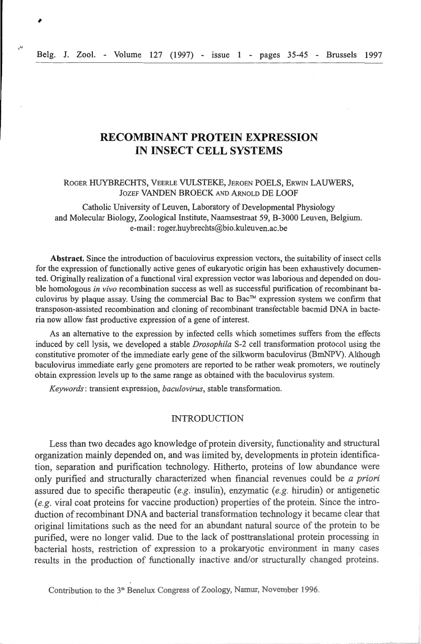# **RECOMBINANT PROTEIN EXPRESSION IN INSECT CELL SYSTEMS**

### ROGER HUYBRECHTS, VEERLE VULSTEKE, JEROEN POELS, ERWIN LAUWERS, JOZEF VANDEN BROECK AND ARNOLD DE LOOF

Catholic University of Leuven, Laboratory of Developmental Physiology and Molecular Biology, Zoological Institute, Naamsestraat 59, B-3000 Leuven, *Belgium.*  e-mail: roger.huybrechts@bio.kuleuven.ac.be

**Abstract.** Since the introduction of baculovirus expression vectors, the suitability of insect cells for the expression of functionally active genes of eukaryotic *origin* bas been exhaustively documented. Originally realization of a functional viral expression vector was laborious and depended on double homologous *in vivo* recombination success as well as successful purification of recombinant baculovirus by plaque assay. Using the commercial Bac to Bac™ expression system we confirm that transposon-assisted recombination and cloning of recombinant transfectable bacmid DNA in bacteria now allow fast productive expression of a gene of interest.

As an alternative to the expression by infected cells which sometimes suffers from the effects induced by cell lysis, we developed a stable *Drosophila* S-2 cell transformation protocol using the constitutive promoter of the immediate early gene of the silkwonn baculovirus (BmNPV). Although baculovirus immediate early gene promoters are reported to be rather weak promoters, we routinely obtain expression levels up to the same range as obtained with the baculovirus system.

*Keywords:* transient expression, *baculovirus,* stable transformation.

### INTRODUCTiON

Less than two decades ago knowledge of protein diversity, functionality and structural organization mainly depended on, and was limited by, developments in ptotein identification, separation and purification technology. Hitherto, proteins of low abundance were only purified and structurally characterized when financial revenues could be *a priori* assured due to specific therapeutic *(e.g. insulin)*, enzymatic *(e.g. hirudin)* or antigenetic *(e.g. viral coat proteins for vaccine production) properties of the protein. Since the intro*duction of recombinant DNA and bacterial transformation technology it became clear that original limitations such as the need for an abundant natmal somce of the protein to be purified, were no longer valid. Due to the lack of posttranslational protein processing in bacterial hosts, restriction of expression to a prokaryotic environment in many cases results in the production of functionally inactive and/or structurally cbanged proteins.

Contribution to the 3•• Benelux Congress of Zoology, Namur, November 1996.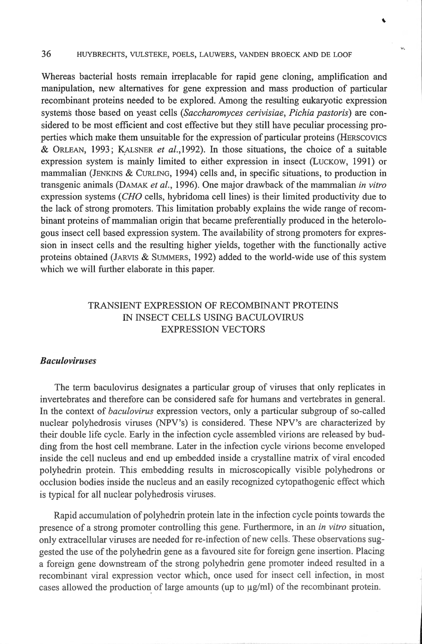### 36 HUYBRECHTS, VULSTEKE, POELS, LAUWERS, VANDEN BROECK AND DE LOOF

Whereas bacterial hosts remain irreplacable for rapid gene cloning, amplification and manipulation, new altematives for gene expression and mass production of particular recombinant proteins needed to be explored. Among the resulting eukaryotic expression systems those based on yeast cells *(Saccharomyces cerivisiae, Pichia pastoris)* are considered to be most efficient and cost effective but they still have peculiar processing properties which make them unsuitable for the expression of particular proteins (HERSCOVICS & ORLEAN, 1993; KALSNER *et al.*, 1992). In those situations, the choice of a suitable expression system is mainly limited to either expression in insect (LUCKOW, 1991) or mammalian (JENKINS & CuRLING, 1994) cells and, in specifie situations, to production in trans genie animais (DAMAK *et al.,* 1996). One major drawback of the mammalian *in vitro*  expression systems *(CHO* cells, hybridoma celllines) is their limited productivity due to the lack of strong promoters. This limitation probably explains the wide range of recombinant proteins of mammalian origin that became preferentially produced in the heterologous insect cell based expression system. The availability of strong promoters for expression in insect cells and the resulting higher yields, together with the functionally active proteins obtained (JARVIS & SUMMERS , 1992) added to the world-wide use of this system which we will further elaborate in this paper.

# TRANSIENT EXPRESSION OF RECOMBINANT PROTEINS IN INSECT CELLS USING BACULOVIRUS EXPRESSION VECTORS

## *Baculoviruses*

The term baculovirus designates a particular group of viruses that only replicates in invertebrates and therefore can be considered safe for humans and vertebrates in general. In the context of *baculovirus* expression vectors, only a pmticular subgroup of so-called nuclear polybedrosis viruses (NPV's) is considered. These NPV's are characterized by their double life cycle. Early in the infection cycle assembled virions are released by budding from the host cell membrane. Later in the infection cycle virions become enveloped inside the cell nucleus and end up embedded inside a crystalline matrix of viral encoded polyhedrin protein. This embedding results in microscopically visible polyhedrons or occlusion bodies inside the nucleus and an easily recognized cytopathogenic effect which is typical for ail nuclear polyhedrosis viruses.

Rapid accumulation of polyhedrin protein late in the infection cycle points towards the presence of a strong promoter controlling this gene. Furthermore, in an *in vitro* situation, only extracellular viruses are needed for re-infection of new cells. These observations suggested the use of the polyhedrin gene as a favoured site for foreign gene insertion. Placing a foreign gene downstream of the strong polyhedrin gene promoter indeed resulted in a recombinant viral expression vector which, once used for insect cell infection, in most cases allowed the production of large amounts (up to  $\mu$ g/ml) of the recombinant protein.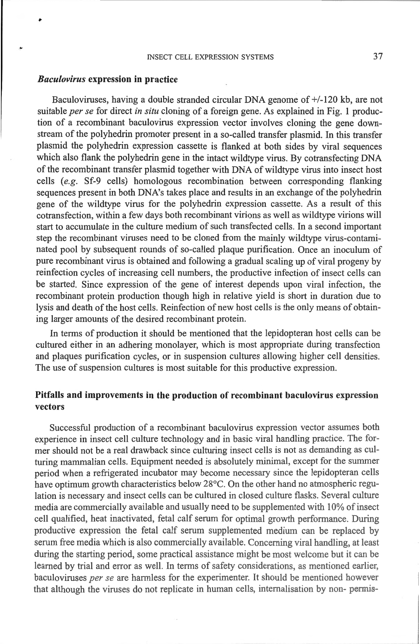#### *Baculovirus* expression in practice

•

Baculoviruses, having a double stranded circular DNA genome of +/-120 kb, are not suitable *per se* for direct *in situ* cloning of a foreign gene. As explained in Fig. 1 production of a recombinant baculovirus expression vector involves cloning the gene clownstream of the polyhedrin promoter present in a so-called transfer plasmid. In this transfer plasmid the polyhedrin expression cassette is flanked at both sides by viral sequences which also flank the polyhedrin gene in the intact wildtype virus. By cotransfecting DNA of the recombinant transfer plasmid together with DNA of wildtype virus into insect host cells *(e.g.* Sf-9 cells) homologous recombination between corresponding flanking sequences present in both DNA's takes place and results in an exchange of the polyhedrin gene of the wildtype virus for the polyhedrin expression cassette. As a result of this cotransfection, within a few days both recombinant virions as weil as wildtype virions will start to accumulate in the culture medium of such transfected cells. In a second important step the recombinant viruses need to be cloned from the mainJy wildtype virus-contaminated pool by subsequent rounds of so-called plaque purification. Once an inoculum of pure recombinant virus is obtained and following a gradual scaling up of viral progeny by reinfection cycles of increasing cell numbers, the productive infection of insect cells can be started. Since expression of the gene of interest depends upon viral infection, the recombinant protein production though high in relative yield is short in duration due to lysis and death of the host cells. Reinfection of new host cells is the only means of obtaining larger amounts of the desired recombinant protein.

In terms of production it should be mentioned that the lepidopteran host cells can be cultured either in an adhering monolayer, which is most appropriate during transfection and plaques purification cycles, or in suspension cultures allowing higher cell densities. The use of suspension cultures is most suitable for this productive expression.

# Pitfalls and improvements in the production of recombinant baculovirus expression vectors

Successful production of a recombinant baculovirus expression vector asswnes both experience in insect cell culture technology and in basic viral handling practice. The former should not be a real drawback since culturing insect cells is not as demanding as culturing mammalian cells. Equipment needed is absolutely minimal, except for the summer period when a refrigerated incubator may become necessary since the lepidopteran cells bave optimum growth characteristics below 28°C. On the other band no atmospheric regulation is necessary and insect cells can be cultured in closed culture flasks. Several culture media are commercially available and usually need to be supplemented with 10% of insect cell qualified, heat inactivated, fetal calf serum for optimal growth performance. During productive expression the fetal calf serum supplemented medium can be replaced by serum free media which is also commercially available. Concerning viral handling, at least during the starting period, some practical assistance might be most welcome but it can be learned by trial and error as weil. In terms of safety considerations, as mentioned earlier, baculoviruses *per se* are harmless for the experimenter. It should be mentioned however that although the viruses do not replicate in human cells, internalisation by non- permis-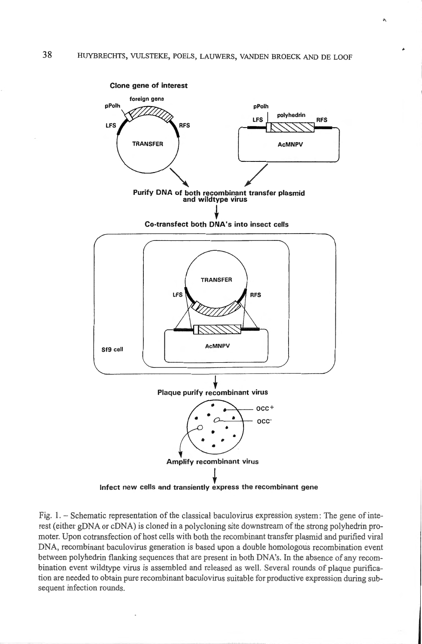

Fig.  $1. -$  Schematic representation of the classical baculovirus expression system: The gene of interest (either gDNA or cDNA) is cloned in a polycloning site downstream of the strong polyhedrin promoter. Upon cotransfection of host cells with both the recombinant transfer plasmid and purified viral DNA, recombinant baculovims generation is based upon a double homologous recombination event between polyhedrin flanking sequences that are present in both DNA's. In the absence of any recombination event wildtype virus is assembled and released as well. Several rounds of plaque purification are needed to obtain pure recombinant baculovirus suitable for productive expression during subsequent infection rounds.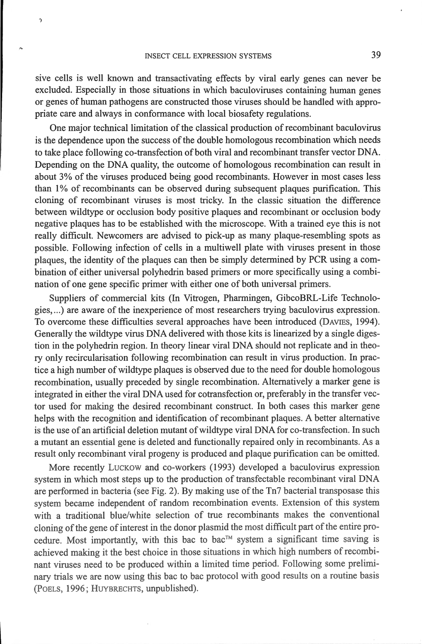$\gamma$ 

sive cells is well known and transactivating effects by viral early genes can never be excluded. Especially in those situations in which baculoviruses containing human genes or genes of human pathogens are constructed those viruses should be handled with appropriate care and always in conformance with local biosafety regulations.

One major technical limitation of the classical production of recombinant baculovirus is the dependence upon the success of the double homologous recombination which needs to take place following co-transfection of both viral and recombinant transfer vector DNA. Depending on the DNA quality, the outcome of homologous recombination can result in about 3% of the viruses produced being good recombinants. However in most cases less than 1% of recombinants can be observed during subsequent plaques purification. This cloning of recombinant viruses is most tricky. ln the classic situation the difference between wildtype or occlusion body positive plaques and recombinant or occlusion body negative plaques bas to be established with the microscope. With a trained eye this is not really difficult. Newcomers are advised to pick-up as many plaque-resembling spots as possible. Following infection of cells in a multiwell plate with viruses present in those plaques, the identity of the plaques can theo be simply determined by PCR using a combination of either universal polyhedrin based primers or more specifically using a combination of one gene specific primer with either one of both universal primers.

Suppliers of commercial kits (ln Vitrogen, Pharmingen, GibcoBRL-Life Technologies, ... ) are aware of the inexperience of most researchers trying baculovirus expression. To overcome these difficulties severa! approaches have been introduced (DAVŒS, 1994). Generally the wildtype virus DNA delivered with those kits is linearized by a single digestion in the polyhedrin region. In theory linear viral DNA should not replicate and in theory only recircularisation following recombination can result in virus production. ln practice a high number of wildtype plaques is observed due to the need for double homologous recombination, usually preceded by single recombination. Alternatively a marker gene is integrated in either the viral DNA used for cotransfection or, preferably in the transfer vector used for making the desired recombinant construct. In both cases this marker gene helps with the recognition and identification of recombinant plaques. A better altemative is the use of an artificial deletion mutant of wildtype viral DNA for co-transfection. In such a mutant an essential gene is deleted and functionally repaired only in recombinants. As a result only recombinant viral progeny is produced and plaque pmification can be omitted.

More recently LUCKOW and co-workers (1993) developed a baculovirus expression system in which most steps up to the production of transfectable recombinant viral DNA are performed in bacteria (see Fig. 2). By making use of the Tn7 bacterial transposase this system became independent of random recombination events. Extension of this system with a traditional blue/white selection of true recombinants makes the conventional cloning of the gene of interest in the donor plasmid the most difficult part of the entire procedure. Most importantly, with this bac to bac<sup>TM</sup> system a significant time saving is achieved making it the best choice in those situations in which high numbers of recombinant viruses need to be produced within a limited time period. Following sorne preliminary trials we are now using this bac to bac protocol with good results on a routine basis (POELS, 1996; HVYBRECHTS, unpublished).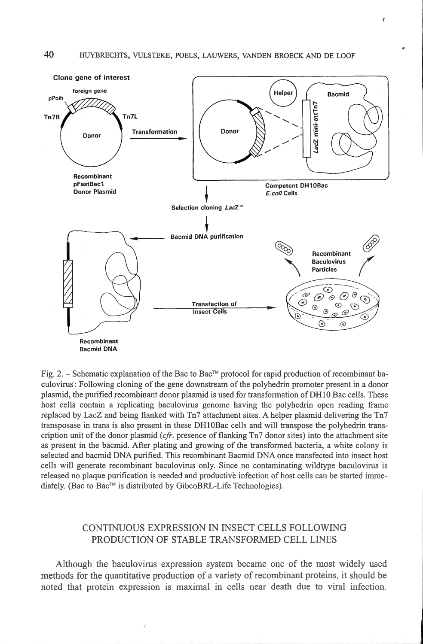

Fig. 2. – Schematic explanation of the Bac to Bac™ protocol for rapid production of recombinant baculovirus: Following cloning of the gene downstream of the polyhedrin promoter present in a donor plasmid, the purified recombinant donor plasmid is used for transformation of DH10 Bac cells. These host cells contain a replicating baculovirus genome having the polyhedrin open reading frame replaced by LacZ and being flanked with Tn7 attachment sites. A helper plasmid delivering the Tn7 transposase in trans is also present in these DH10Bac cells and will transpose the polyhedrin transcription unit of the donor plasmid *(cfr.* presence of flanking Tn7 donor sites) into the attachment site as present in the bacmid. After plating and growing of the transfonned bacteria, a white colony is selected and bacmid DNA purified. This recombinant Bacmid DNA once transfected into insect host cells will generate recombinant baculovirus only. Since no contaminating wildtype baculovirus is released no plaque purification is needed and productive infection of host cells can be started immediately. (Bac to Bac<sup>™</sup> is distributed by GibcoBRL-Life Technologies).

# CONTINUOUS EXPRESSION IN INSECT CELLS FOLLOWING PRODUCTION OF STABLE TRANSFORMED CELL LINES

Although the baculovirus expression system became one of the most widely used metbods for the quantitative production of a variety of recombinant proteins, it should be noted that protein expression is maximal in cells near death due to viral infection.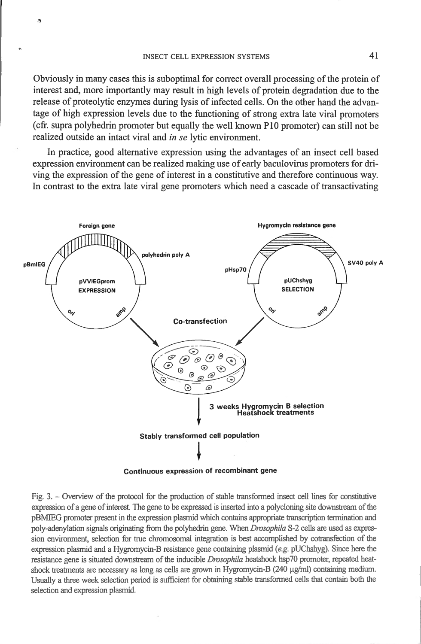Obvious1y in many cases this is suboptimal for conect overall processing of the protein of interest and, more importantly may result in high levels of protein degradation due to the release of proteolytic enzymes during lysis of infected cells. On the other hand the advantage of high expression levels due to the functioning of strong extra late viral promoters ( cfr. supra polyhedrin promoter but equally the weil known P 10 promoter) can still not be realized outside an intact viral and *in se* lytic environment.

In practice, good alternative expression using the advantages of an insect cell based expression environment can be realized making use of early baculovirus promoters for driving the expression of the gene of interest in a constitutive and therefore continuous way. In contrast to the extra late viral gene promoters which need a cascade of transactivating



Continuous expression of recombinant gene

Fig. 3. - Overview of the protocol for the production of stable transformed insect cell lines for constitutive expression of a gene of interest. The gene to be expressed is inserted into a polycloning site downstream of the pBMIEG promoter present in the expression plasmicl wh.ich contains appropriate transcription temrination and poly-adenylation signals originating from the polyhedrin gene. When *Drosophila* S-2 cells are used as expression environment, selection for true chromosomal integration is best accomplished by cotransfection of the expression plasmid and a Hygromycin-B resistance gene containing plasmid (e.g. pUChshyg). Since here the resistance gene is situated downstream of tbe inducible *Drosophila* heatshock hsp70 promoter, repeated heatshock treatments are necessary as long as cells are grown in Hygromycin-B (240 µg/ml) containing medium. Usually a three week selection period is sufficient for obtaining stable transformed cells that contain both the selection and expression plasmid.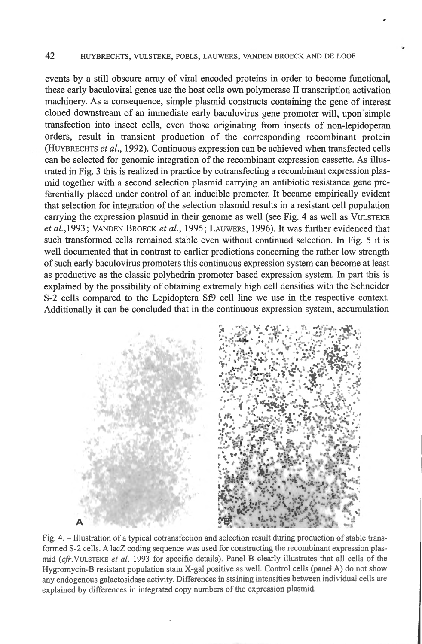### 42 HUYBRECHTS, VULSTEKE, POELS, LAUWERS, VANDEN BROECK AND DE LOOF

events by a still obscure array of viral encoded proteins in order to become functional, these early baculoviral genes use the host cells own polymerase II transcription activation machinery. As a consequence, simple plasmid constructs containing the gene of interest cloned downstream of an immediate early baculovirus gene promoter will, upon simple transfection into insect cells, even those originating from insects of non-lepidoperan orders, result in transient production of the corresponding recombinant protein (HUYBRECHTS *et al.,* 1992). Continuous expression can be achieved when transfected cells can be selected for genomic integration of the recombinant expression cassette. As illustrated in Fig. 3 this is realized in practice by cotransfecting a recombinant expression plasmid together with a second selection plasmid carrying an antibiotic resistance gene preferentially placed under control of an inducible promoter. It became empirically evident that selection for integration of the selection plasmid results in a resistant cell population carrying the expression plasmid in their genome as weil (see Fig. 4 as weil as VULSTEKE *et al.*, 1993; VANDEN BROECK *et al.*, 1995; LAUWERS, 1996). It was further evidenced that such transformed cells remained stable even without continued selection. In Fig. 5 it is well documented that in contrast to earlier predictions conceming the rather low strength of such early baculovirus promoters this continuous expression system can become at least as productive as the classic polyhedrin promoter based expression system. In patt this is explained by the possibility of obtaining extremely high cell densities with the Schneider S-2 cells compared to the Lepidoptera Sf9 cell tine we use in the respective context. Additionally it can be concluded that in the continuous expression system, accumulation



Fig. 4. - Illustration of a typical cotransfection and selection result during production of stable transformed S-2 cells. A lacZ coding sequence was used for constructing the recombinant expression plasmid (cfr. VULSTEKE et al. 1993 for specific details). Panel B clearly illustrates that all cells of the Hygromycin-B resistant population stain X-gal positive as well. Control cells (panel A) do not show any endogenous galactosidase activity. Differences in staining intensities between individual cells are explained by differences in integrated copy numbers of the expression plasmid.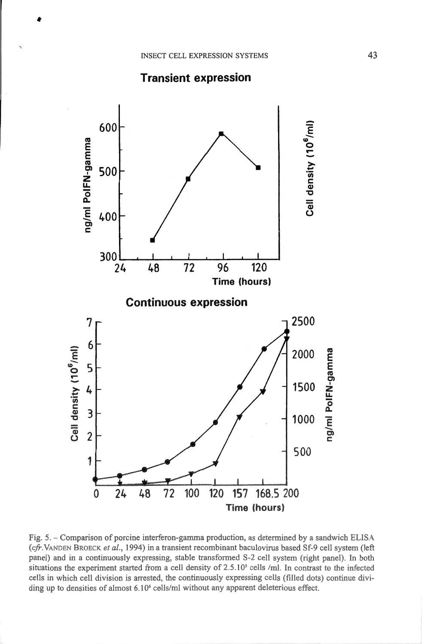



Fig. 5. - Comparison of porcine interferon-gamma production, as determined by a sandwich ELISA (cfr. VANDEN BROECK et al., 1994) in a transient recombinant baculovirus based Sf-9 cell system (left panel) and in a continuously expressing, stable transformed S-2 cell system (right panel). In both situations the experiment started from a cell density of 2.5.10<sup>5</sup> cells /ml. In contrast to the infected cells in which cell division is arrested, the continuously expressing cells (filled dots) continue dividing up to densities of almost  $6.10<sup>6</sup>$  cells/ml without any apparent deleterious effect.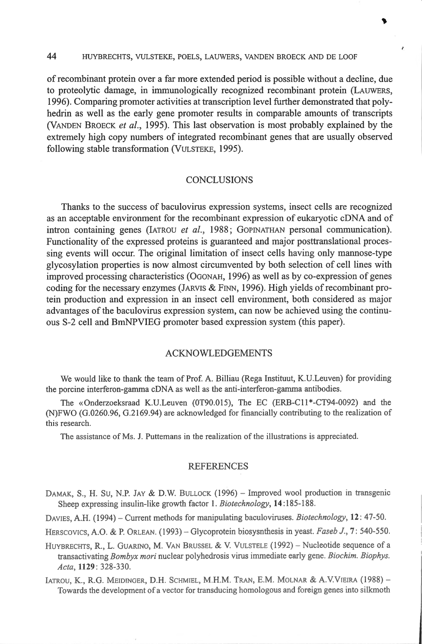### 44 HUYBRECHTS, VULSTEKE, POELS, LAUWERS, VANDEN BROECK AND DE LOOF

of recombinant protein over a far more extended period is possible without a decline, due to proteolytic damage, in immunologically recognized recombinant protein (LAUWERS, 1996). Comparing promoter activities at transcription leve) further demonstrated that polyhedrin as weil as the early gene promoter results in comparable amounts of transcripts (VANDEN BROECK *et al.,* 1995). This Iast observation is most probably explained by the extremely high copy numbers of integrated recombinant genes that are usually observed following stable transformation (VuLSTEKE, 1995).

### **CONCLUSIONS**

Thanks to the success of baculovirus expression systems, insect cells are recognized as an acceptable environment for the recombinant expression of eukaryotic eDNA and of intron containing genes (IATROU *et al.*, 1988; GOPINATHAN personal communication). Functionality of the expressed proteins is guaranteed and major posttranslational processing events will occur. The original limitation of insect cells having only mannose-type glycosylation properties is now almost circumvented by both selection of cell lines with improved processing characteristics (OGONAH, 1996) as weil as by co-expression of genes coding for the necessary enzymes (JARVIS & FINN, 1996). High yields of recombinant protein production and expression in an insect cell environment, both considered as major advantages of the baculovirus expression system, can now be achieved using the continuous S-2 cell and BmNPVIEG promoter based expression system (this paper).

## ACKNOWLEDGEMENTS

We would like to thank the team of Prof. A. Billiau (Rega lnstituut, K.U.Leuven) for providing the porcine interferon-gamma eDNA as weil as the anti-interferon-gamma antibodies.

The «Onderzoeksraad K.U.Leuven (0T90.015), The EC (ERB-C11\*-CT94-0092) and the (N)FWO (G.0260.96, G.2169.94) are acknowledged for financially contributing to the realization of this research.

The assistance of Ms. J. Puttemans in the realization of the illustrations is appreciated.

#### **REFERENCES**

DAMAK, S., H. Su, N.P. JAY & D.W. BULLOCK (1996) - Improved wool production in transgenic Sheep expressing insulin-like growth factor 1. *Biotechnology*, 14:185-188.

DAVIES, A.H. (1994) - Current methods for manipulating baculoviruses. *Biotechnology*, 12: 47-50.

HERSCOVICS, A.O. & P. ORLEAN. (1993) - Glycoprotein biosysnthesis in yeast. *Faseb J.*, 7: 540-550.

HUYBRECHTS, R., L. GUARINO, M. VAN BRUSSEL & V. VULSTELE (1992) - Nucleotide sequence of a transactivating *Bombyx mori* nuclear polyhedrosis virus immediate early gene. *Biochim. Biophys. Acta,* 1129: 328-330.

IATROU, K., R.G. MEIDINGER, D.H. SCHMIEL, M.H.M. TRAN, E.M. MOLNAR & A.V.VIEIRA (1988) -Towards the development of a vector for transducing homologous and foreign genes into silkmoth